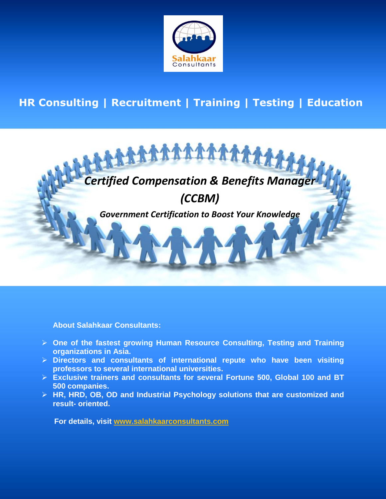

# **HR Consulting | Recruitment | Training | Testing | Education**



**About Salahkaar Consultants:**

- **One of the fastest growing Human Resource Consulting, Testing and Training organizations in Asia.**
- **Directors and consultants of international repute who have been visiting professors to several international universities.**
- **Exclusive trainers and consultants for several Fortune 500, Global 100 and BT 500 companies.**
- **HR, HRD, OB, OD and Industrial Psychology solutions that are customized and result- oriented.**

 **For details, visit www.salahkaarconsultants.com**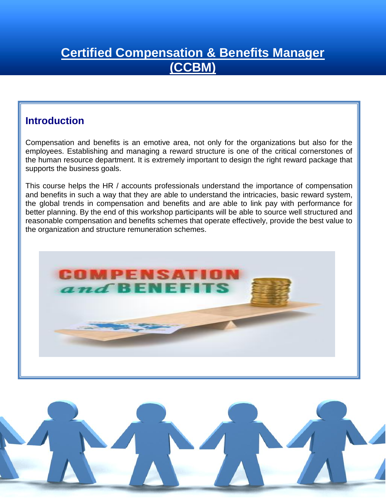# **Certified Compensation & Benefits Manager (CCBM)**

#### **Introduction**

 the human resource department. It is extremely important to design the right reward package that Compensation and benefits is an emotive area, not only for the organizations but also for the employees. Establishing and managing a reward structure is one of the critical cornerstones of supports the business goals.

 This course helps the HR / accounts professionals understand the importance of compensation the global trends in compensation and benefits and are able to link pay with performance for and benefits in such a way that they are able to understand the intricacies, basic reward system, better planning. By the end of this workshop participants will be able to source well structured and reasonable compensation and benefits schemes that operate effectively, provide the best value to the organization and structure remuneration schemes.



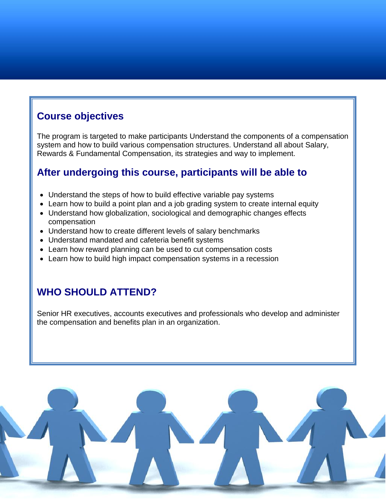#### **Course objectives**

The program is targeted to make participants Understand the components of a compensation system and how to build various compensation structures. Understand all about Salary, Rewards & Fundamental Compensation, its strategies and way to implement.

#### **After undergoing this course, participants will be able to**

- Understand the steps of how to build effective variable pay systems
- Learn how to build a point plan and a job grading system to create internal equity
- Understand how globalization, sociological and demographic changes effects compensation
- Understand how to create different levels of salary benchmarks
- Understand mandated and cafeteria benefit systems
- Learn how reward planning can be used to cut compensation costs
- Learn how to build high impact compensation systems in a recession

#### **WHO SHOULD ATTEND?**

Senior HR executives, accounts executives and professionals who develop and administer the compensation and benefits plan in an organization.

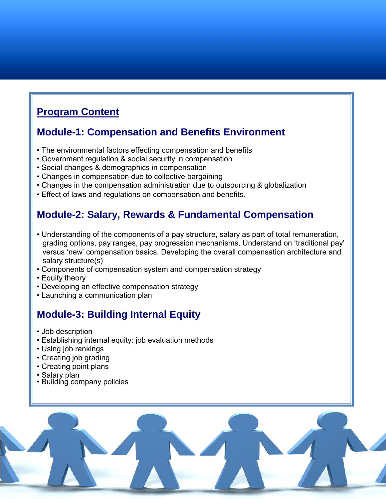## **Program Content**

#### **Module-1: Compensation and Benefits Environment**

- The environmental factors effecting compensation and benefits
- Government regulation & social security in compensation
- Social changes & demographics in compensation
- Changes in compensation due to collective bargaining
- Changes in the compensation administration due to outsourcing & globalization
- Effect of laws and regulations on compensation and benefits.

#### **Module-2: Salary, Rewards & Fundamental Compensation**

- Understanding of the components of a pay structure, salary as part of total remuneration, grading options, pay ranges, pay progression mechanisms, Understand on 'traditional pay' versus 'new' compensation basics. Developing the overall compensation architecture and salary structure(s)
- Components of compensation system and compensation strategy
- Equity theory
- Developing an effective compensation strategy
- Launching a communication plan

#### **Module-3: Building Internal Equity**

- Job description
- Establishing internal equity: job evaluation methods
- Using job rankings
- Creating job grading
- Creating point plans
- Salary plan
- Building company policies

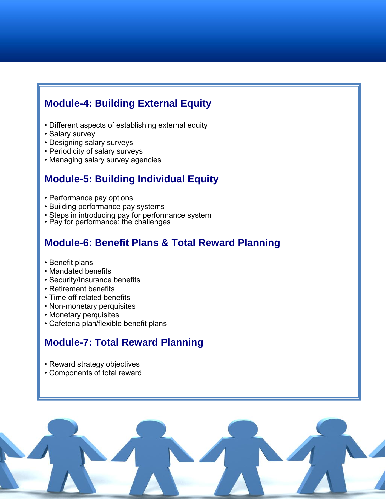### **Module-4: Building External Equity**

- Different aspects of establishing external equity
- Salary survey
- Designing salary surveys
- Periodicity of salary surveys
- Managing salary survey agencies

#### **Module-5: Building Individual Equity**

- Performance pay options
- Building performance pay systems
- Steps in introducing pay for performance system
- Pay for performance: the challenges

#### **Module-6: Benefit Plans & Total Reward Planning**

- Benefit plans
- Mandated benefits
- Security/Insurance benefits
- Retirement benefits
- Time off related benefits
- Non-monetary perquisites
- Monetary perquisites
- Cafeteria plan/flexible benefit plans

#### **Module-7: Total Reward Planning**

- Reward strategy objectives
- Components of total reward